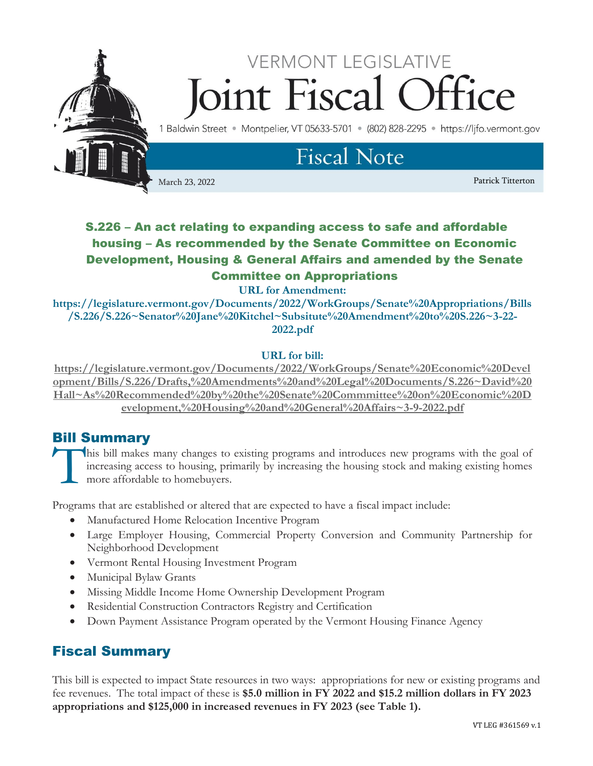

# S.226 – An act relating to expanding access to safe and affordable housing – As recommended by the Senate Committee on Economic Development, Housing & General Affairs and amended by the Senate Committee on Appropriations

**URL for Amendment:** 

**https://legislature.vermont.gov/Documents/2022/WorkGroups/Senate%20Appropriations/Bills /S.226/S.226~Senator%20Jane%20Kitchel~Subsitute%20Amendment%20to%20S.226~3-22- 2022.pdf**

## **URL for bill:**

**[https://legislature.vermont.gov/Documents/2022/WorkGroups/Senate%20Economic%20Devel](https://legislature.vermont.gov/Documents/2022/WorkGroups/Senate%20Economic%20Development/Bills/S.226/Drafts,%20Amendments%20and%20Legal%20Documents/S.226~David%20Hall~As%20Recommended%20by%20the%20Senate%20Commmittee%20on%20Economic%20Development,%20Housing%20and%20General%20Affairs~3-9-2022.pdf) [opment/Bills/S.226/Drafts,%20Amendments%20and%20Legal%20Documents/S.226~David%20](https://legislature.vermont.gov/Documents/2022/WorkGroups/Senate%20Economic%20Development/Bills/S.226/Drafts,%20Amendments%20and%20Legal%20Documents/S.226~David%20Hall~As%20Recommended%20by%20the%20Senate%20Commmittee%20on%20Economic%20Development,%20Housing%20and%20General%20Affairs~3-9-2022.pdf) [Hall~As%20Recommended%20by%20the%20Senate%20Commmittee%20on%20Economic%20D](https://legislature.vermont.gov/Documents/2022/WorkGroups/Senate%20Economic%20Development/Bills/S.226/Drafts,%20Amendments%20and%20Legal%20Documents/S.226~David%20Hall~As%20Recommended%20by%20the%20Senate%20Commmittee%20on%20Economic%20Development,%20Housing%20and%20General%20Affairs~3-9-2022.pdf) [evelopment,%20Housing%20and%20General%20Affairs~3-9-2022.pdf](https://legislature.vermont.gov/Documents/2022/WorkGroups/Senate%20Economic%20Development/Bills/S.226/Drafts,%20Amendments%20and%20Legal%20Documents/S.226~David%20Hall~As%20Recommended%20by%20the%20Senate%20Commmittee%20on%20Economic%20Development,%20Housing%20and%20General%20Affairs~3-9-2022.pdf)**

# Bill Summary

his bill makes many changes to existing programs and introduces new programs with the goal of increasing access to housing, primarily by increasing the housing stock and making existing homes more affordable to homebuyers. **T** 

Programs that are established or altered that are expected to have a fiscal impact include:

- Manufactured Home Relocation Incentive Program
- Large Employer Housing, Commercial Property Conversion and Community Partnership for Neighborhood Development
- Vermont Rental Housing Investment Program
- Municipal Bylaw Grants
- Missing Middle Income Home Ownership Development Program
- Residential Construction Contractors Registry and Certification
- Down Payment Assistance Program operated by the Vermont Housing Finance Agency

# Fiscal Summary

This bill is expected to impact State resources in two ways: appropriations for new or existing programs and fee revenues. The total impact of these is **\$5.0 million in FY 2022 and \$15.2 million dollars in FY 2023 appropriations and \$125,000 in increased revenues in FY 2023 (see Table 1).**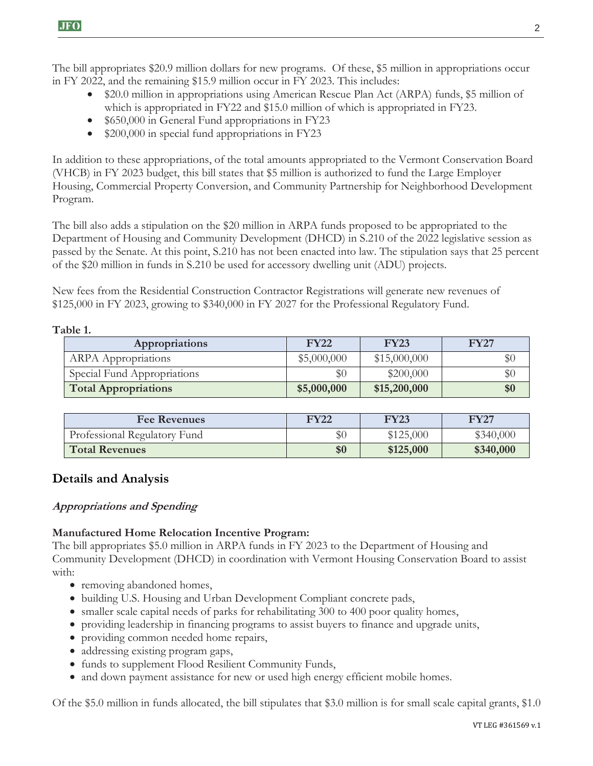The bill appropriates \$20.9 million dollars for new programs. Of these, \$5 million in appropriations occur in FY 2022, and the remaining \$15.9 million occur in FY 2023. This includes:

- \$20.0 million in appropriations using American Rescue Plan Act (ARPA) funds, \$5 million of which is appropriated in FY22 and \$15.0 million of which is appropriated in FY23.
- \$650,000 in General Fund appropriations in FY23
- \$200,000 in special fund appropriations in FY23

In addition to these appropriations, of the total amounts appropriated to the Vermont Conservation Board (VHCB) in FY 2023 budget, this bill states that \$5 million is authorized to fund the Large Employer Housing, Commercial Property Conversion, and Community Partnership for Neighborhood Development Program.

The bill also adds a stipulation on the \$20 million in ARPA funds proposed to be appropriated to the Department of Housing and Community Development (DHCD) in S.210 of the 2022 legislative session as passed by the Senate. At this point, S.210 has not been enacted into law. The stipulation says that 25 percent of the \$20 million in funds in S.210 be used for accessory dwelling unit (ADU) projects.

New fees from the Residential Construction Contractor Registrations will generate new revenues of \$125,000 in FY 2023, growing to \$340,000 in FY 2027 for the Professional Regulatory Fund.

## **Table 1.**

| Appropriations              | <b>FY22</b> | <b>FY23</b>  | <b>FY27</b> |
|-----------------------------|-------------|--------------|-------------|
| <b>ARPA</b> Appropriations  | \$5,000,000 | \$15,000,000 | $\$0$       |
| Special Fund Appropriations | \$0         | \$200,000    | $\$0$       |
| <b>Total Appropriations</b> | \$5,000,000 | \$15,200,000 | \$0         |

| <b>Fee Revenues</b>          | <b>FY22</b> | <b>FY23</b> | <b>FY27</b> |
|------------------------------|-------------|-------------|-------------|
| Professional Regulatory Fund | \$0         | \$125,000   | \$340,000   |
| <b>Total Revenues</b>        | \$0         | \$125,000   | \$340,000   |

# **Details and Analysis**

## **Appropriations and Spending**

## **Manufactured Home Relocation Incentive Program:**

The bill appropriates \$5.0 million in ARPA funds in FY 2023 to the Department of Housing and Community Development (DHCD) in coordination with Vermont Housing Conservation Board to assist with:

- removing abandoned homes,
- building U.S. Housing and Urban Development Compliant concrete pads,
- smaller scale capital needs of parks for rehabilitating 300 to 400 poor quality homes,
- providing leadership in financing programs to assist buyers to finance and upgrade units,
- providing common needed home repairs,
- addressing existing program gaps,
- funds to supplement Flood Resilient Community Funds,
- and down payment assistance for new or used high energy efficient mobile homes.

Of the \$5.0 million in funds allocated, the bill stipulates that \$3.0 million is for small scale capital grants, \$1.0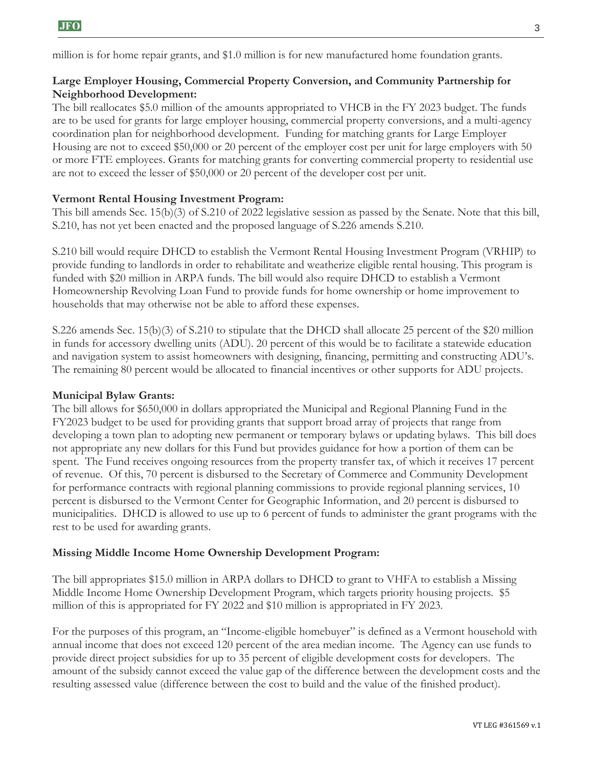million is for home repair grants, and \$1.0 million is for new manufactured home foundation grants.

## **Large Employer Housing, Commercial Property Conversion, and Community Partnership for Neighborhood Development:**

The bill reallocates \$5.0 million of the amounts appropriated to VHCB in the FY 2023 budget. The funds are to be used for grants for large employer housing, commercial property conversions, and a multi-agency coordination plan for neighborhood development. Funding for matching grants for Large Employer Housing are not to exceed \$50,000 or 20 percent of the employer cost per unit for large employers with 50 or more FTE employees. Grants for matching grants for converting commercial property to residential use are not to exceed the lesser of \$50,000 or 20 percent of the developer cost per unit.

## **Vermont Rental Housing Investment Program:**

This bill amends Sec. 15(b)(3) of S.210 of 2022 legislative session as passed by the Senate. Note that this bill, S.210, has not yet been enacted and the proposed language of S.226 amends S.210.

S.210 bill would require DHCD to establish the Vermont Rental Housing Investment Program (VRHIP) to provide funding to landlords in order to rehabilitate and weatherize eligible rental housing. This program is funded with \$20 million in ARPA funds. The bill would also require DHCD to establish a Vermont Homeownership Revolving Loan Fund to provide funds for home ownership or home improvement to households that may otherwise not be able to afford these expenses.

S.226 amends Sec. 15(b)(3) of S.210 to stipulate that the DHCD shall allocate 25 percent of the \$20 million in funds for accessory dwelling units (ADU). 20 percent of this would be to facilitate a statewide education and navigation system to assist homeowners with designing, financing, permitting and constructing ADU's. The remaining 80 percent would be allocated to financial incentives or other supports for ADU projects.

## **Municipal Bylaw Grants:**

The bill allows for \$650,000 in dollars appropriated the Municipal and Regional Planning Fund in the FY2023 budget to be used for providing grants that support broad array of projects that range from developing a town plan to adopting new permanent or temporary bylaws or updating bylaws. This bill does not appropriate any new dollars for this Fund but provides guidance for how a portion of them can be spent. The Fund receives ongoing resources from the property transfer tax, of which it receives 17 percent of revenue. Of this, 70 percent is disbursed to the Secretary of Commerce and Community Development for performance contracts with regional planning commissions to provide regional planning services, 10 percent is disbursed to the Vermont Center for Geographic Information, and 20 percent is disbursed to municipalities. DHCD is allowed to use up to 6 percent of funds to administer the grant programs with the rest to be used for awarding grants.

#### **Missing Middle Income Home Ownership Development Program:**

The bill appropriates \$15.0 million in ARPA dollars to DHCD to grant to VHFA to establish a Missing Middle Income Home Ownership Development Program, which targets priority housing projects. \$5 million of this is appropriated for FY 2022 and \$10 million is appropriated in FY 2023.

For the purposes of this program, an "Income-eligible homebuyer" is defined as a Vermont household with annual income that does not exceed 120 percent of the area median income. The Agency can use funds to provide direct project subsidies for up to 35 percent of eligible development costs for developers. The amount of the subsidy cannot exceed the value gap of the difference between the development costs and the resulting assessed value (difference between the cost to build and the value of the finished product).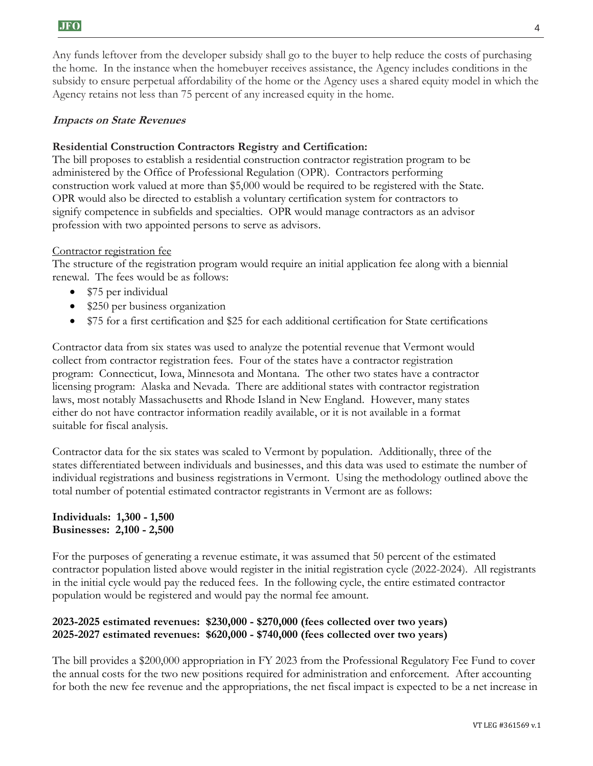Any funds leftover from the developer subsidy shall go to the buyer to help reduce the costs of purchasing the home. In the instance when the homebuyer receives assistance, the Agency includes conditions in the subsidy to ensure perpetual affordability of the home or the Agency uses a shared equity model in which the Agency retains not less than 75 percent of any increased equity in the home.

#### **Impacts on State Revenues**

#### **Residential Construction Contractors Registry and Certification:**

The bill proposes to establish a residential construction contractor registration program to be administered by the Office of Professional Regulation (OPR). Contractors performing construction work valued at more than \$5,000 would be required to be registered with the State. OPR would also be directed to establish a voluntary certification system for contractors to signify competence in subfields and specialties. OPR would manage contractors as an advisor profession with two appointed persons to serve as advisors.

#### Contractor registration fee

The structure of the registration program would require an initial application fee along with a biennial renewal. The fees would be as follows:

- \$75 per individual
- \$250 per business organization
- \$75 for a first certification and \$25 for each additional certification for State certifications

Contractor data from six states was used to analyze the potential revenue that Vermont would collect from contractor registration fees. Four of the states have a contractor registration program: Connecticut, Iowa, Minnesota and Montana. The other two states have a contractor licensing program: Alaska and Nevada. There are additional states with contractor registration laws, most notably Massachusetts and Rhode Island in New England. However, many states either do not have contractor information readily available, or it is not available in a format suitable for fiscal analysis.

Contractor data for the six states was scaled to Vermont by population. Additionally, three of the states differentiated between individuals and businesses, and this data was used to estimate the number of individual registrations and business registrations in Vermont. Using the methodology outlined above the total number of potential estimated contractor registrants in Vermont are as follows:

#### **Individuals: 1,300 - 1,500 Businesses: 2,100 - 2,500**

For the purposes of generating a revenue estimate, it was assumed that 50 percent of the estimated contractor population listed above would register in the initial registration cycle (2022-2024). All registrants in the initial cycle would pay the reduced fees. In the following cycle, the entire estimated contractor population would be registered and would pay the normal fee amount.

## **2023-2025 estimated revenues: \$230,000 - \$270,000 (fees collected over two years) 2025-2027 estimated revenues: \$620,000 - \$740,000 (fees collected over two years)**

The bill provides a \$200,000 appropriation in FY 2023 from the Professional Regulatory Fee Fund to cover the annual costs for the two new positions required for administration and enforcement. After accounting for both the new fee revenue and the appropriations, the net fiscal impact is expected to be a net increase in